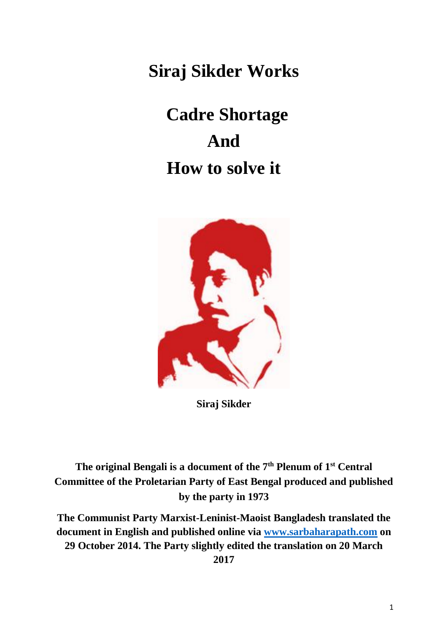**Siraj Sikder Works**

# **Cadre Shortage And How to solve it**



**Siraj Sikder**

# **The original Bengali is a document of the 7th Plenum of 1st Central Committee of the Proletarian Party of East Bengal produced and published by the party in 1973**

**The Communist Party Marxist-Leninist-Maoist Bangladesh translated the document in English and published online via [www.sarbaharapath.com](http://www.sarbaharapath.com/) on 29 October 2014. The Party slightly edited the translation on 20 March 2017**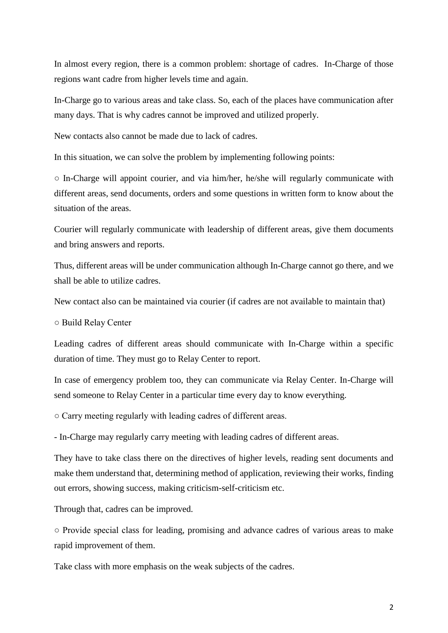In almost every region, there is a common problem: shortage of cadres. In-Charge of those regions want cadre from higher levels time and again.

In-Charge go to various areas and take class. So, each of the places have communication after many days. That is why cadres cannot be improved and utilized properly.

New contacts also cannot be made due to lack of cadres.

In this situation, we can solve the problem by implementing following points:

 $\circ$  In-Charge will appoint courier, and via him/her, he/she will regularly communicate with different areas, send documents, orders and some questions in written form to know about the situation of the areas.

Courier will regularly communicate with leadership of different areas, give them documents and bring answers and reports.

Thus, different areas will be under communication although In-Charge cannot go there, and we shall be able to utilize cadres.

New contact also can be maintained via courier (if cadres are not available to maintain that)

○ Build Relay Center

Leading cadres of different areas should communicate with In-Charge within a specific duration of time. They must go to Relay Center to report.

In case of emergency problem too, they can communicate via Relay Center. In-Charge will send someone to Relay Center in a particular time every day to know everything.

○ Carry meeting regularly with leading cadres of different areas.

- In-Charge may regularly carry meeting with leading cadres of different areas.

They have to take class there on the directives of higher levels, reading sent documents and make them understand that, determining method of application, reviewing their works, finding out errors, showing success, making criticism-self-criticism etc.

Through that, cadres can be improved.

○ Provide special class for leading, promising and advance cadres of various areas to make rapid improvement of them.

Take class with more emphasis on the weak subjects of the cadres.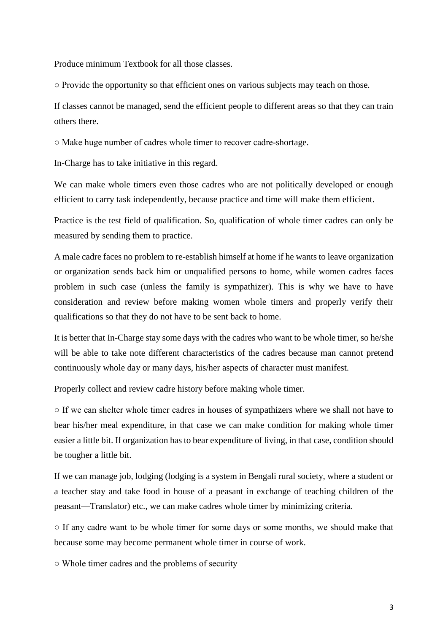Produce minimum Textbook for all those classes.

○ Provide the opportunity so that efficient ones on various subjects may teach on those.

If classes cannot be managed, send the efficient people to different areas so that they can train others there.

○ Make huge number of cadres whole timer to recover cadre-shortage.

In-Charge has to take initiative in this regard.

We can make whole timers even those cadres who are not politically developed or enough efficient to carry task independently, because practice and time will make them efficient.

Practice is the test field of qualification. So, qualification of whole timer cadres can only be measured by sending them to practice.

A male cadre faces no problem to re-establish himself at home if he wants to leave organization or organization sends back him or unqualified persons to home, while women cadres faces problem in such case (unless the family is sympathizer). This is why we have to have consideration and review before making women whole timers and properly verify their qualifications so that they do not have to be sent back to home.

It is better that In-Charge stay some days with the cadres who want to be whole timer, so he/she will be able to take note different characteristics of the cadres because man cannot pretend continuously whole day or many days, his/her aspects of character must manifest.

Properly collect and review cadre history before making whole timer.

○ If we can shelter whole timer cadres in houses of sympathizers where we shall not have to bear his/her meal expenditure, in that case we can make condition for making whole timer easier a little bit. If organization has to bear expenditure of living, in that case, condition should be tougher a little bit.

If we can manage job, lodging (lodging is a system in Bengali rural society, where a student or a teacher stay and take food in house of a peasant in exchange of teaching children of the peasant—Translator) etc., we can make cadres whole timer by minimizing criteria.

○ If any cadre want to be whole timer for some days or some months, we should make that because some may become permanent whole timer in course of work.

○ Whole timer cadres and the problems of security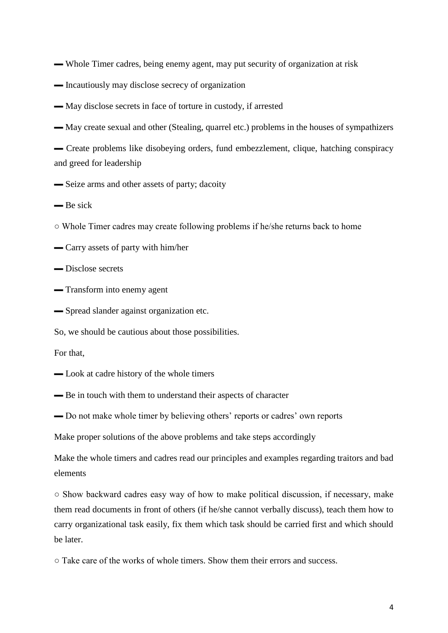- ▬ Whole Timer cadres, being enemy agent, may put security of organization at risk
- $\blacksquare$  Incautiously may disclose secrecy of organization
- ▬ May disclose secrets in face of torture in custody, if arrested
- ▬ May create sexual and other (Stealing, quarrel etc.) problems in the houses of sympathizers

▬ Create problems like disobeying orders, fund embezzlement, clique, hatching conspiracy and greed for leadership

- ▬ Seize arms and other assets of party; dacoity
- ▬ Be sick
- Whole Timer cadres may create following problems if he/she returns back to home
- ▬ Carry assets of party with him/her
- ▬ Disclose secrets
- ▬ Transform into enemy agent
- ▬ Spread slander against organization etc.

So, we should be cautious about those possibilities.

For that,

- ▬ Look at cadre history of the whole timers
- ▬ Be in touch with them to understand their aspects of character
- ▬ Do not make whole timer by believing others' reports or cadres' own reports

Make proper solutions of the above problems and take steps accordingly

Make the whole timers and cadres read our principles and examples regarding traitors and bad elements

○ Show backward cadres easy way of how to make political discussion, if necessary, make them read documents in front of others (if he/she cannot verbally discuss), teach them how to carry organizational task easily, fix them which task should be carried first and which should be later.

○ Take care of the works of whole timers. Show them their errors and success.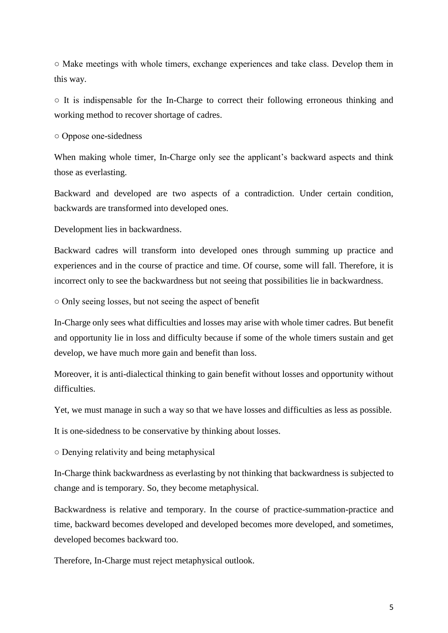○ Make meetings with whole timers, exchange experiences and take class. Develop them in this way.

○ It is indispensable for the In-Charge to correct their following erroneous thinking and working method to recover shortage of cadres.

○ Oppose one-sidedness

When making whole timer, In-Charge only see the applicant's backward aspects and think those as everlasting.

Backward and developed are two aspects of a contradiction. Under certain condition, backwards are transformed into developed ones.

Development lies in backwardness.

Backward cadres will transform into developed ones through summing up practice and experiences and in the course of practice and time. Of course, some will fall. Therefore, it is incorrect only to see the backwardness but not seeing that possibilities lie in backwardness.

○ Only seeing losses, but not seeing the aspect of benefit

In-Charge only sees what difficulties and losses may arise with whole timer cadres. But benefit and opportunity lie in loss and difficulty because if some of the whole timers sustain and get develop, we have much more gain and benefit than loss.

Moreover, it is anti-dialectical thinking to gain benefit without losses and opportunity without difficulties.

Yet, we must manage in such a way so that we have losses and difficulties as less as possible.

It is one-sidedness to be conservative by thinking about losses.

○ Denying relativity and being metaphysical

In-Charge think backwardness as everlasting by not thinking that backwardness is subjected to change and is temporary. So, they become metaphysical.

Backwardness is relative and temporary. In the course of practice-summation-practice and time, backward becomes developed and developed becomes more developed, and sometimes, developed becomes backward too.

Therefore, In-Charge must reject metaphysical outlook.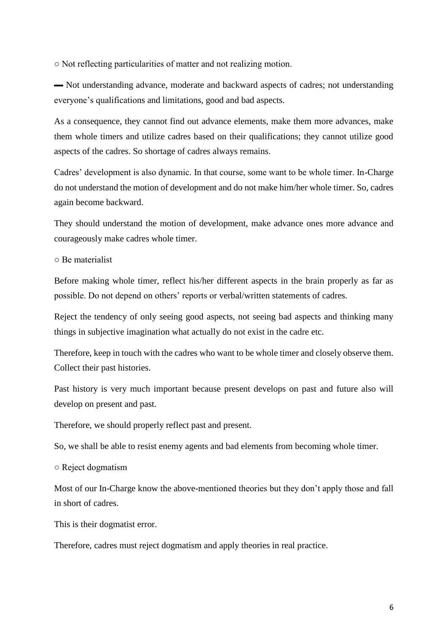○ Not reflecting particularities of matter and not realizing motion.

▬ Not understanding advance, moderate and backward aspects of cadres; not understanding everyone's qualifications and limitations, good and bad aspects.

As a consequence, they cannot find out advance elements, make them more advances, make them whole timers and utilize cadres based on their qualifications; they cannot utilize good aspects of the cadres. So shortage of cadres always remains.

Cadres' development is also dynamic. In that course, some want to be whole timer. In-Charge do not understand the motion of development and do not make him/her whole timer. So, cadres again become backward.

They should understand the motion of development, make advance ones more advance and courageously make cadres whole timer.

○ Be materialist

Before making whole timer, reflect his/her different aspects in the brain properly as far as possible. Do not depend on others' reports or verbal/written statements of cadres.

Reject the tendency of only seeing good aspects, not seeing bad aspects and thinking many things in subjective imagination what actually do not exist in the cadre etc.

Therefore, keep in touch with the cadres who want to be whole timer and closely observe them. Collect their past histories.

Past history is very much important because present develops on past and future also will develop on present and past.

Therefore, we should properly reflect past and present.

So, we shall be able to resist enemy agents and bad elements from becoming whole timer.

○ Reject dogmatism

Most of our In-Charge know the above-mentioned theories but they don't apply those and fall in short of cadres.

This is their dogmatist error.

Therefore, cadres must reject dogmatism and apply theories in real practice.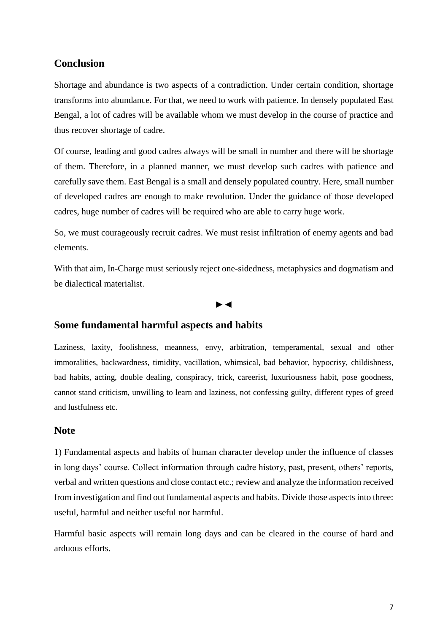## **Conclusion**

Shortage and abundance is two aspects of a contradiction. Under certain condition, shortage transforms into abundance. For that, we need to work with patience. In densely populated East Bengal, a lot of cadres will be available whom we must develop in the course of practice and thus recover shortage of cadre.

Of course, leading and good cadres always will be small in number and there will be shortage of them. Therefore, in a planned manner, we must develop such cadres with patience and carefully save them. East Bengal is a small and densely populated country. Here, small number of developed cadres are enough to make revolution. Under the guidance of those developed cadres, huge number of cadres will be required who are able to carry huge work.

So, we must courageously recruit cadres. We must resist infiltration of enemy agents and bad elements.

With that aim, In-Charge must seriously reject one-sidedness, metaphysics and dogmatism and be dialectical materialist.

#### ►◄

### **Some fundamental harmful aspects and habits**

Laziness, laxity, foolishness, meanness, envy, arbitration, temperamental, sexual and other immoralities, backwardness, timidity, vacillation, whimsical, bad behavior, hypocrisy, childishness, bad habits, acting, double dealing, conspiracy, trick, careerist, luxuriousness habit, pose goodness, cannot stand criticism, unwilling to learn and laziness, not confessing guilty, different types of greed and lustfulness etc.

#### **Note**

1) Fundamental aspects and habits of human character develop under the influence of classes in long days' course. Collect information through cadre history, past, present, others' reports, verbal and written questions and close contact etc.; review and analyze the information received from investigation and find out fundamental aspects and habits. Divide those aspects into three: useful, harmful and neither useful nor harmful.

Harmful basic aspects will remain long days and can be cleared in the course of hard and arduous efforts.